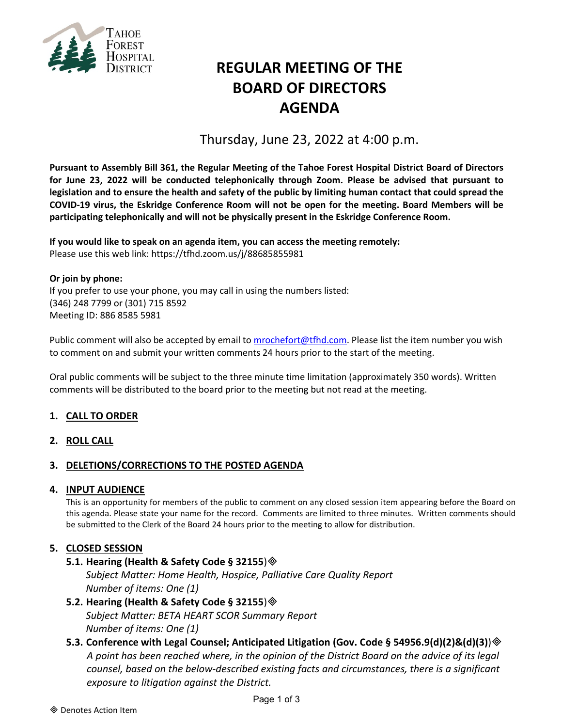

# **REGULAR MEETING OF THE BOARD OF DIRECTORS AGENDA**

Thursday, June 23, 2022 at 4:00 p.m.

**Pursuant to Assembly Bill 361, the Regular Meeting of the Tahoe Forest Hospital District Board of Directors for June 23, 2022 will be conducted telephonically through Zoom. Please be advised that pursuant to legislation and to ensure the health and safety of the public by limiting human contact that could spread the COVID-19 virus, the Eskridge Conference Room will not be open for the meeting. Board Members will be participating telephonically and will not be physically present in the Eskridge Conference Room.**

**If you would like to speak on an agenda item, you can access the meeting remotely:** Please use this web link: <https://tfhd.zoom.us/j/88685855981>

**Or join by phone:**  If you prefer to use your phone, you may call in using the numbers listed: (346) 248 7799 or (301) 715 8592 Meeting ID: 886 8585 5981

Public comment will also be accepted by email to [mrochefort@tfhd.com.](mailto:mrochefort@tfhd.com) Please list the item number you wish to comment on and submit your written comments 24 hours prior to the start of the meeting.

Oral public comments will be subject to the three minute time limitation (approximately 350 words). Written comments will be distributed to the board prior to the meeting but not read at the meeting.

# **1. CALL TO ORDER**

**2. ROLL CALL**

## **3. DELETIONS/CORRECTIONS TO THE POSTED AGENDA**

## **4. INPUT AUDIENCE**

This is an opportunity for members of the public to comment on any closed session item appearing before the Board on this agenda. Please state your name for the record. Comments are limited to three minutes. Written comments should be submitted to the Clerk of the Board 24 hours prior to the meeting to allow for distribution.

## **5. CLOSED SESSION**

## **5.1. Hearing (Health & Safety Code § 32155**)

*Subject Matter: Home Health, Hospice, Palliative Care Quality Report Number of items: One (1)*

## **5.2. Hearing (Health & Safety Code § 32155**) *Subject Matter: BETA HEART SCOR Summary Report Number of items: One (1)*

# **5.3. Conference with Legal Counsel; Anticipated Litigation (Gov. Code § 54956.9(d)(2)&(d)(3)**) *A point has been reached where, in the opinion of the District Board on the advice of its legal counsel, based on the below-described existing facts and circumstances, there is a significant exposure to litigation against the District.*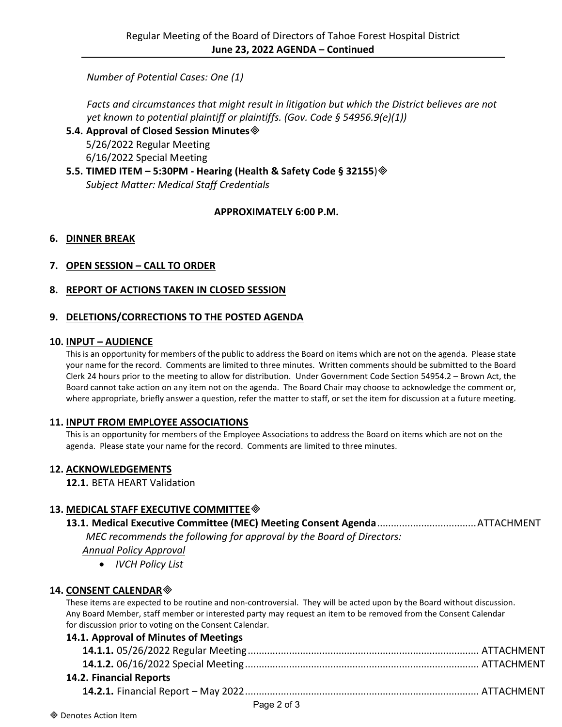*Number of Potential Cases: One (1)*

*Facts and circumstances that might result in litigation but which the District believes are not yet known to potential plaintiff or plaintiffs. (Gov. Code § 54956.9(e)(1))*

**5.4. Approval of Closed Session Minutes**

5/26/2022 Regular Meeting 6/16/2022 Special Meeting

**5.5. TIMED ITEM – 5:30PM - Hearing (Health & Safety Code § 32155**) *Subject Matter: Medical Staff Credentials*

# **APPROXIMATELY 6:00 P.M.**

## **6. DINNER BREAK**

# **7. OPEN SESSION – CALL TO ORDER**

## **8. REPORT OF ACTIONS TAKEN IN CLOSED SESSION**

## **9. DELETIONS/CORRECTIONS TO THE POSTED AGENDA**

#### **10. INPUT – AUDIENCE**

This is an opportunity for members of the public to address the Board on items which are not on the agenda. Please state your name for the record. Comments are limited to three minutes. Written comments should be submitted to the Board Clerk 24 hours prior to the meeting to allow for distribution. Under Government Code Section 54954.2 – Brown Act, the Board cannot take action on any item not on the agenda. The Board Chair may choose to acknowledge the comment or, where appropriate, briefly answer a question, refer the matter to staff, or set the item for discussion at a future meeting.

#### **11. INPUT FROM EMPLOYEE ASSOCIATIONS**

This is an opportunity for members of the Employee Associations to address the Board on items which are not on the agenda. Please state your name for the record. Comments are limited to three minutes.

## **12. ACKNOWLEDGEMENTS**

**12.1.** BETA HEART Validation

# **13. MEDICAL STAFF EXECUTIVE COMMITTEE**

**13.1. Medical Executive Committee (MEC) Meeting Consent Agenda**....................................ATTACHMENT *MEC recommends the following for approval by the Board of Directors: Annual Policy Approval*

• *IVCH Policy List*

## **14. CONSENT CALENDAR**

These items are expected to be routine and non-controversial. They will be acted upon by the Board without discussion. Any Board Member, staff member or interested party may request an item to be removed from the Consent Calendar for discussion prior to voting on the Consent Calendar.

## **14.1. Approval of Minutes of Meetings**

| 14.2. Financial Reports |  |
|-------------------------|--|
|                         |  |